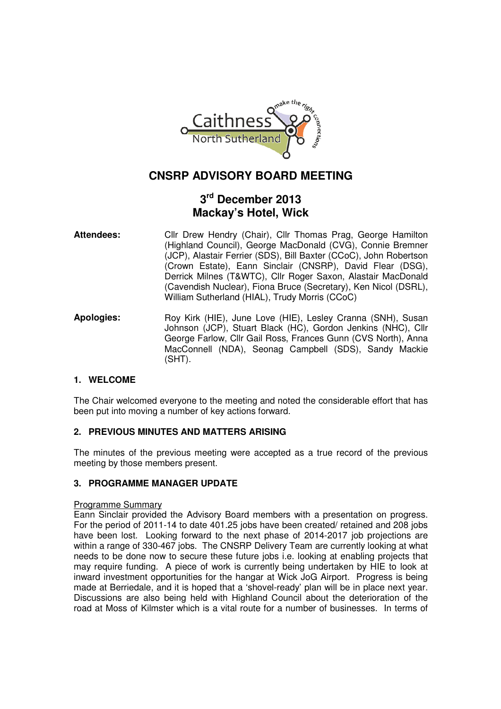

# **CNSRP ADVISORY BOARD MEETING**

# **3 rd December 2013 Mackay's Hotel, Wick**

- Attendees: Clir Drew Hendry (Chair), Clir Thomas Prag, George Hamilton (Highland Council), George MacDonald (CVG), Connie Bremner (JCP), Alastair Ferrier (SDS), Bill Baxter (CCoC), John Robertson (Crown Estate), Eann Sinclair (CNSRP), David Flear (DSG), Derrick Milnes (T&WTC), Cllr Roger Saxon, Alastair MacDonald (Cavendish Nuclear), Fiona Bruce (Secretary), Ken Nicol (DSRL), William Sutherland (HIAL), Trudy Morris (CCoC)
- Apologies: Roy Kirk (HIE), June Love (HIE), Lesley Cranna (SNH), Susan Johnson (JCP), Stuart Black (HC), Gordon Jenkins (NHC), Cllr George Farlow, Cllr Gail Ross, Frances Gunn (CVS North), Anna MacConnell (NDA), Seonag Campbell (SDS), Sandy Mackie (SHT).

# **1. WELCOME**

The Chair welcomed everyone to the meeting and noted the considerable effort that has been put into moving a number of key actions forward.

# **2. PREVIOUS MINUTES AND MATTERS ARISING**

The minutes of the previous meeting were accepted as a true record of the previous meeting by those members present.

# **3. PROGRAMME MANAGER UPDATE**

#### Programme Summary

Eann Sinclair provided the Advisory Board members with a presentation on progress. For the period of 2011-14 to date 401.25 jobs have been created/ retained and 208 jobs have been lost. Looking forward to the next phase of 2014-2017 job projections are within a range of 330-467 jobs. The CNSRP Delivery Team are currently looking at what needs to be done now to secure these future jobs i.e. looking at enabling projects that may require funding. A piece of work is currently being undertaken by HIE to look at inward investment opportunities for the hangar at Wick JoG Airport. Progress is being made at Berriedale, and it is hoped that a 'shovel-ready' plan will be in place next year. Discussions are also being held with Highland Council about the deterioration of the road at Moss of Kilmster which is a vital route for a number of businesses. In terms of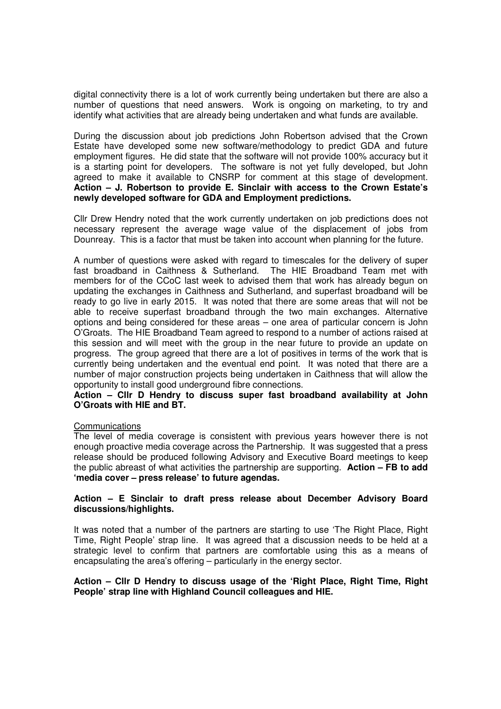digital connectivity there is a lot of work currently being undertaken but there are also a number of questions that need answers. Work is ongoing on marketing, to try and identify what activities that are already being undertaken and what funds are available.

During the discussion about job predictions John Robertson advised that the Crown Estate have developed some new software/methodology to predict GDA and future employment figures. He did state that the software will not provide 100% accuracy but it is a starting point for developers. The software is not yet fully developed, but John agreed to make it available to CNSRP for comment at this stage of development. **Action – J. Robertson to provide E. Sinclair with access to the Crown Estate's newly developed software for GDA and Employment predictions.** 

Cllr Drew Hendry noted that the work currently undertaken on job predictions does not necessary represent the average wage value of the displacement of jobs from Dounreay. This is a factor that must be taken into account when planning for the future.

A number of questions were asked with regard to timescales for the delivery of super fast broadband in Caithness & Sutherland. The HIE Broadband Team met with members for of the CCoC last week to advised them that work has already begun on updating the exchanges in Caithness and Sutherland, and superfast broadband will be ready to go live in early 2015. It was noted that there are some areas that will not be able to receive superfast broadband through the two main exchanges. Alternative options and being considered for these areas – one area of particular concern is John O'Groats. The HIE Broadband Team agreed to respond to a number of actions raised at this session and will meet with the group in the near future to provide an update on progress. The group agreed that there are a lot of positives in terms of the work that is currently being undertaken and the eventual end point. It was noted that there are a number of major construction projects being undertaken in Caithness that will allow the opportunity to install good underground fibre connections.

#### **Action – Cllr D Hendry to discuss super fast broadband availability at John O'Groats with HIE and BT.**

#### **Communications**

The level of media coverage is consistent with previous years however there is not enough proactive media coverage across the Partnership. It was suggested that a press release should be produced following Advisory and Executive Board meetings to keep the public abreast of what activities the partnership are supporting. **Action – FB to add 'media cover – press release' to future agendas.** 

#### **Action – E Sinclair to draft press release about December Advisory Board discussions/highlights.**

It was noted that a number of the partners are starting to use 'The Right Place, Right Time, Right People' strap line. It was agreed that a discussion needs to be held at a strategic level to confirm that partners are comfortable using this as a means of encapsulating the area's offering – particularly in the energy sector.

#### **Action – Cllr D Hendry to discuss usage of the 'Right Place, Right Time, Right People' strap line with Highland Council colleagues and HIE.**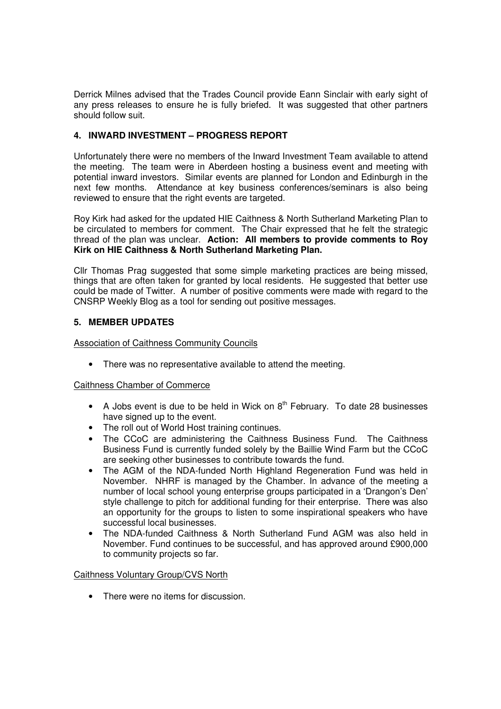Derrick Milnes advised that the Trades Council provide Eann Sinclair with early sight of any press releases to ensure he is fully briefed. It was suggested that other partners should follow suit.

# **4. INWARD INVESTMENT – PROGRESS REPORT**

Unfortunately there were no members of the Inward Investment Team available to attend the meeting. The team were in Aberdeen hosting a business event and meeting with potential inward investors. Similar events are planned for London and Edinburgh in the next few months. Attendance at key business conferences/seminars is also being reviewed to ensure that the right events are targeted.

Roy Kirk had asked for the updated HIE Caithness & North Sutherland Marketing Plan to be circulated to members for comment. The Chair expressed that he felt the strategic thread of the plan was unclear. **Action: All members to provide comments to Roy Kirk on HIE Caithness & North Sutherland Marketing Plan.** 

Cllr Thomas Prag suggested that some simple marketing practices are being missed, things that are often taken for granted by local residents. He suggested that better use could be made of Twitter. A number of positive comments were made with regard to the CNSRP Weekly Blog as a tool for sending out positive messages.

# **5. MEMBER UPDATES**

Association of Caithness Community Councils

• There was no representative available to attend the meeting.

# Caithness Chamber of Commerce

- A Jobs event is due to be held in Wick on  $8<sup>th</sup>$  February. To date 28 businesses have signed up to the event.
- The roll out of World Host training continues.
- The CCoC are administering the Caithness Business Fund. The Caithness Business Fund is currently funded solely by the Baillie Wind Farm but the CCoC are seeking other businesses to contribute towards the fund.
- The AGM of the NDA-funded North Highland Regeneration Fund was held in November. NHRF is managed by the Chamber. In advance of the meeting a number of local school young enterprise groups participated in a 'Drangon's Den' style challenge to pitch for additional funding for their enterprise. There was also an opportunity for the groups to listen to some inspirational speakers who have successful local businesses.
- The NDA-funded Caithness & North Sutherland Fund AGM was also held in November. Fund continues to be successful, and has approved around £900,000 to community projects so far.

# Caithness Voluntary Group/CVS North

• There were no items for discussion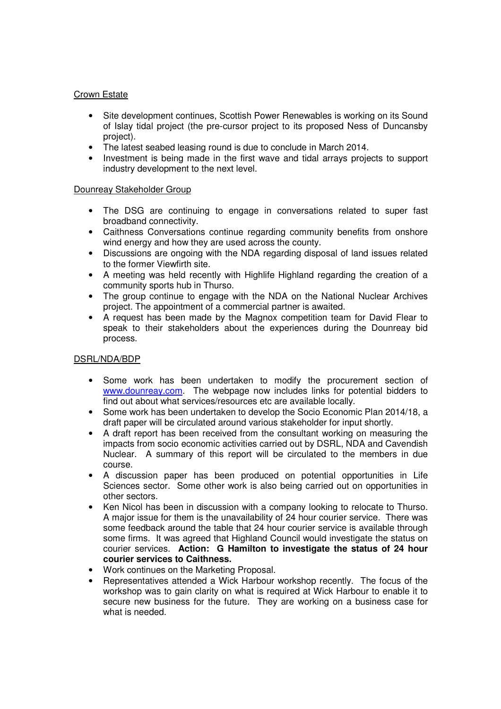### Crown Estate

- Site development continues, Scottish Power Renewables is working on its Sound of Islay tidal project (the pre-cursor project to its proposed Ness of Duncansby project).
- The latest seabed leasing round is due to conclude in March 2014.
- Investment is being made in the first wave and tidal arrays projects to support industry development to the next level.

#### Dounreay Stakeholder Group

- The DSG are continuing to engage in conversations related to super fast broadband connectivity.
- Caithness Conversations continue regarding community benefits from onshore wind energy and how they are used across the county.
- Discussions are ongoing with the NDA regarding disposal of land issues related to the former Viewfirth site.
- A meeting was held recently with Highlife Highland regarding the creation of a community sports hub in Thurso.
- The group continue to engage with the NDA on the National Nuclear Archives project. The appointment of a commercial partner is awaited.
- A request has been made by the Magnox competition team for David Flear to speak to their stakeholders about the experiences during the Dounreay bid process.

# DSRL/NDA/BDP

- Some work has been undertaken to modify the procurement section of www.dounreay.com. The webpage now includes links for potential bidders to find out about what services/resources etc are available locally.
- Some work has been undertaken to develop the Socio Economic Plan 2014/18, a draft paper will be circulated around various stakeholder for input shortly.
- A draft report has been received from the consultant working on measuring the impacts from socio economic activities carried out by DSRL, NDA and Cavendish Nuclear. A summary of this report will be circulated to the members in due course.
- A discussion paper has been produced on potential opportunities in Life Sciences sector. Some other work is also being carried out on opportunities in other sectors.
- Ken Nicol has been in discussion with a company looking to relocate to Thurso. A major issue for them is the unavailability of 24 hour courier service. There was some feedback around the table that 24 hour courier service is available through some firms. It was agreed that Highland Council would investigate the status on courier services. **Action: G Hamilton to investigate the status of 24 hour courier services to Caithness.**
- Work continues on the Marketing Proposal.
- Representatives attended a Wick Harbour workshop recently. The focus of the workshop was to gain clarity on what is required at Wick Harbour to enable it to secure new business for the future. They are working on a business case for what is needed.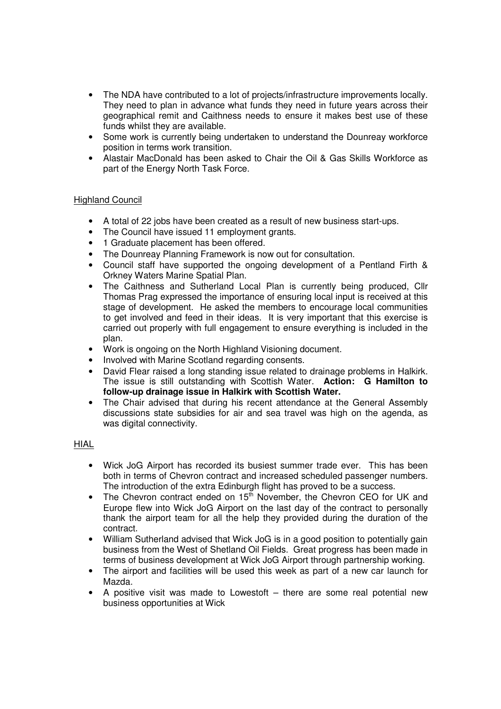- The NDA have contributed to a lot of projects/infrastructure improvements locally. They need to plan in advance what funds they need in future years across their geographical remit and Caithness needs to ensure it makes best use of these funds whilst they are available.
- Some work is currently being undertaken to understand the Dounreay workforce position in terms work transition.
- Alastair MacDonald has been asked to Chair the Oil & Gas Skills Workforce as part of the Energy North Task Force.

#### Highland Council

- A total of 22 jobs have been created as a result of new business start-ups.
- The Council have issued 11 employment grants.
- 1 Graduate placement has been offered.
- The Dounreay Planning Framework is now out for consultation.
- Council staff have supported the ongoing development of a Pentland Firth & Orkney Waters Marine Spatial Plan.
- The Caithness and Sutherland Local Plan is currently being produced, Cllr Thomas Prag expressed the importance of ensuring local input is received at this stage of development. He asked the members to encourage local communities to get involved and feed in their ideas. It is very important that this exercise is carried out properly with full engagement to ensure everything is included in the plan.
- Work is ongoing on the North Highland Visioning document.
- Involved with Marine Scotland regarding consents.
- David Flear raised a long standing issue related to drainage problems in Halkirk. The issue is still outstanding with Scottish Water. **Action: G Hamilton to follow-up drainage issue in Halkirk with Scottish Water.**
- The Chair advised that during his recent attendance at the General Assembly discussions state subsidies for air and sea travel was high on the agenda, as was digital connectivity.

#### HIAL

- Wick JoG Airport has recorded its busiest summer trade ever. This has been both in terms of Chevron contract and increased scheduled passenger numbers. The introduction of the extra Edinburgh flight has proved to be a success.
- The Chevron contract ended on  $15^{\overline{th}}$  November, the Chevron CEO for UK and Europe flew into Wick JoG Airport on the last day of the contract to personally thank the airport team for all the help they provided during the duration of the contract.
- William Sutherland advised that Wick JoG is in a good position to potentially gain business from the West of Shetland Oil Fields. Great progress has been made in terms of business development at Wick JoG Airport through partnership working.
- The airport and facilities will be used this week as part of a new car launch for Mazda.
- A positive visit was made to Lowestoft there are some real potential new business opportunities at Wick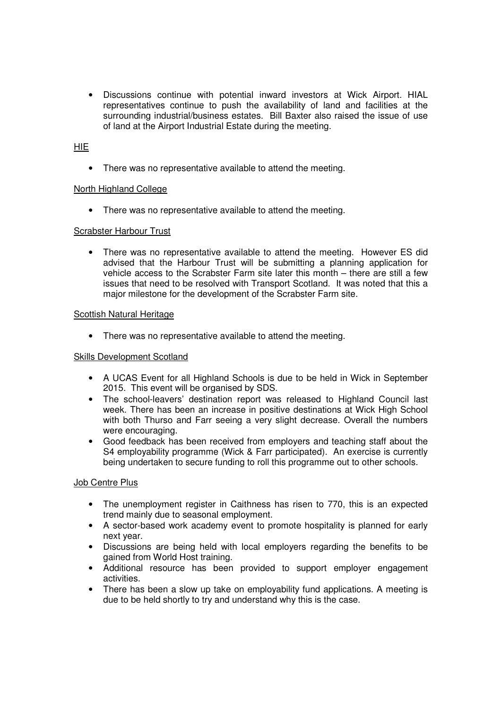• Discussions continue with potential inward investors at Wick Airport. HIAL representatives continue to push the availability of land and facilities at the surrounding industrial/business estates. Bill Baxter also raised the issue of use of land at the Airport Industrial Estate during the meeting.

# **HIE**

• There was no representative available to attend the meeting.

#### North Highland College

• There was no representative available to attend the meeting.

#### Scrabster Harbour Trust

• There was no representative available to attend the meeting. However ES did advised that the Harbour Trust will be submitting a planning application for vehicle access to the Scrabster Farm site later this month – there are still a few issues that need to be resolved with Transport Scotland. It was noted that this a major milestone for the development of the Scrabster Farm site.

#### Scottish Natural Heritage

• There was no representative available to attend the meeting.

#### Skills Development Scotland

- A UCAS Event for all Highland Schools is due to be held in Wick in September 2015. This event will be organised by SDS.
- The school-leavers' destination report was released to Highland Council last week. There has been an increase in positive destinations at Wick High School with both Thurso and Farr seeing a very slight decrease. Overall the numbers were encouraging.
- Good feedback has been received from employers and teaching staff about the S4 employability programme (Wick & Farr participated). An exercise is currently being undertaken to secure funding to roll this programme out to other schools.

#### **Job Centre Plus**

- The unemployment register in Caithness has risen to 770, this is an expected trend mainly due to seasonal employment.
- A sector-based work academy event to promote hospitality is planned for early next year.
- Discussions are being held with local employers regarding the benefits to be gained from World Host training.
- Additional resource has been provided to support employer engagement activities.
- There has been a slow up take on employability fund applications. A meeting is due to be held shortly to try and understand why this is the case.